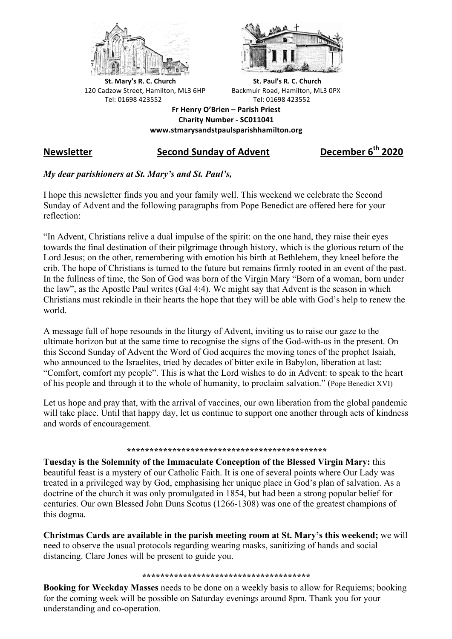



**St.** Mary's R. C. Church St. Paul's R. C. Church 120 Cadzow Street, Hamilton, ML3 6HP Backmuir Road, Hamilton, ML3 0PX Tel: 01698 423552 Tel: 01698 423552

**Fr Henry O'Brien – Parish Priest Charity Number - SC011041 www.stmarysandstpaulsparishhamilton.org**

# **Newsletter Second Sunday of Advent December 6th 2020**

## *My dear parishioners at St. Mary's and St. Paul's,*

I hope this newsletter finds you and your family well. This weekend we celebrate the Second Sunday of Advent and the following paragraphs from Pope Benedict are offered here for your reflection:

"In Advent, Christians relive a dual impulse of the spirit: on the one hand, they raise their eyes towards the final destination of their pilgrimage through history, which is the glorious return of the Lord Jesus; on the other, remembering with emotion his birth at Bethlehem, they kneel before the crib. The hope of Christians is turned to the future but remains firmly rooted in an event of the past. In the fullness of time, the Son of God was born of the Virgin Mary "Born of a woman, born under the law", as the Apostle Paul writes (Gal 4:4). We might say that Advent is the season in which Christians must rekindle in their hearts the hope that they will be able with God's help to renew the world.

A message full of hope resounds in the liturgy of Advent, inviting us to raise our gaze to the ultimate horizon but at the same time to recognise the signs of the God-with-us in the present. On this Second Sunday of Advent the Word of God acquires the moving tones of the prophet Isaiah, who announced to the Israelites, tried by decades of bitter exile in Babylon, liberation at last: "Comfort, comfort my people". This is what the Lord wishes to do in Advent: to speak to the heart of his people and through it to the whole of humanity, to proclaim salvation." (Pope Benedict XVI)

Let us hope and pray that, with the arrival of vaccines, our own liberation from the global pandemic will take place. Until that happy day, let us continue to support one another through acts of kindness and words of encouragement.

## *\*\*\*\*\*\*\*\*\*\*\*\*\*\*\*\*\*\*\*\*\*\*\*\*\*\*\*\*\*\*\*\*\*\*\*\*\*\*\*\*\*\*\*\**

**Tuesday is the Solemnity of the Immaculate Conception of the Blessed Virgin Mary:** this beautiful feast is a mystery of our Catholic Faith. It is one of several points where Our Lady was treated in a privileged way by God, emphasising her unique place in God's plan of salvation. As a doctrine of the church it was only promulgated in 1854, but had been a strong popular belief for centuries. Our own Blessed John Duns Scotus (1266-1308) was one of the greatest champions of this dogma.

**Christmas Cards are available in the parish meeting room at St. Mary's this weekend;** we will need to observe the usual protocols regarding wearing masks, sanitizing of hands and social distancing. Clare Jones will be present to guide you.

#### **\*\*\*\*\*\*\*\*\*\*\*\*\*\*\*\*\*\*\*\*\*\*\*\*\*\*\*\*\*\*\*\*\*\*\*\*\***

**Booking for Weekday Masses** needs to be done on a weekly basis to allow for Requiems; booking for the coming week will be possible on Saturday evenings around 8pm. Thank you for your understanding and co-operation.